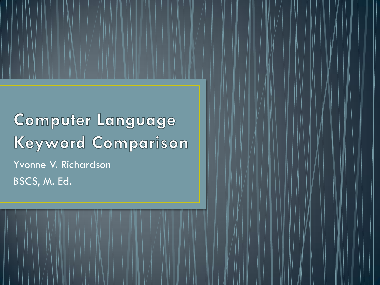**Computer Language Keyword Comparison** Yvonne V. Richardson BSCS, M. Ed.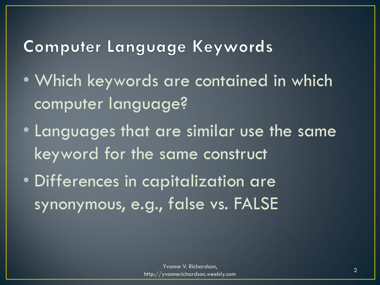## Computer Language Keywords

- Which keywords are contained in which computer language?
- Languages that are similar use the same keyword for the same construct
- Differences in capitalization are synonymous, e.g., false vs. FALSE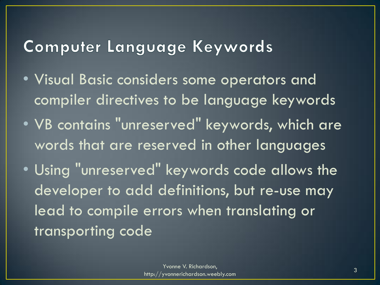## Computer Language Keywords

- Visual Basic considers some operators and compiler directives to be language keywords
- VB contains "unreserved" keywords, which are words that are reserved in other languages
- Using "unreserved" keywords code allows the developer to add definitions, but re-use may lead to compile errors when translating or transporting code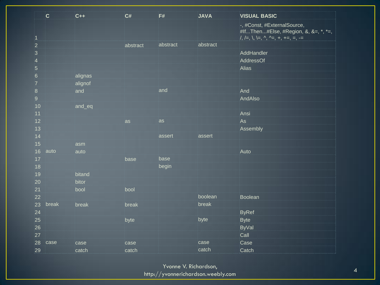|                                  | $\overline{\mathbf{c}}$ | $C_{++}$ | C#       | F#        | <b>JAVA</b> | <b>VISUAL BASIC</b>                  |
|----------------------------------|-------------------------|----------|----------|-----------|-------------|--------------------------------------|
|                                  |                         |          |          |           |             | -, #Const, #ExternalSource,          |
|                                  |                         |          |          |           |             | #IfThen#Else, #Region, &, &=, *, *=, |
| $\overline{1}$<br>$\overline{2}$ |                         |          | abstract | abstract  | abstract    |                                      |
| $\overline{3}$                   |                         |          |          |           |             | AddHandler                           |
| $\overline{4}$                   |                         |          |          |           |             | AddressOf                            |
| $\overline{5}$                   |                         |          |          |           |             | Alias                                |
| $6\phantom{1}$                   |                         | alignas  |          |           |             |                                      |
| $\overline{7}$                   |                         | alignof  |          |           |             |                                      |
| $\overline{8}$                   |                         | and      |          | and       |             | And                                  |
| $\mathbf{9}$                     |                         |          |          |           |             | AndAlso                              |
| 10                               |                         | and_eq   |          |           |             |                                      |
| 11                               |                         |          |          |           |             | Ansi                                 |
| 12                               |                         |          | as       | <b>as</b> |             | As                                   |
| 13                               |                         |          |          |           |             | Assembly                             |
| 14                               |                         |          |          | assert    | assert      |                                      |
| 15                               |                         | asm      |          |           |             |                                      |
| 16                               | auto                    | auto     |          |           |             | Auto                                 |
| 17                               |                         |          | base     | base      |             |                                      |
| 18                               |                         |          |          | begin     |             |                                      |
| 19                               |                         | bitand   |          |           |             |                                      |
| 20                               |                         | bitor    |          |           |             |                                      |
| 21                               |                         | bool     | bool     |           |             |                                      |
| 22                               |                         |          |          |           | boolean     | Boolean                              |
| 23                               | break                   | break    | break    |           | break       |                                      |
| 24                               |                         |          |          |           | byte        | ByRef                                |
| 25<br>26                         |                         |          | byte     |           |             | Byte                                 |
| 27                               |                         |          |          |           |             | ByVal<br>Call                        |
| 28                               | case                    | case     | case     |           | case        | Case                                 |
|                                  |                         |          |          |           | catch       |                                      |
| 29                               |                         | catch    | catch    |           |             | Catch                                |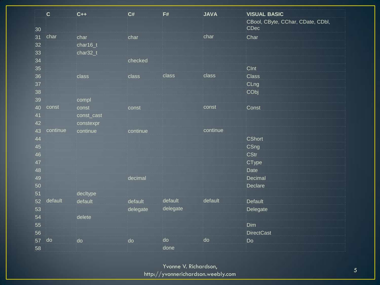|    | $\mathbf{C}$ | $C++$      | C#       | F#       | <b>JAVA</b> | <b>VISUAL BASIC</b>                       |
|----|--------------|------------|----------|----------|-------------|-------------------------------------------|
| 30 |              |            |          |          |             | CBool, CByte, CChar, CDate, CDbl,<br>CDec |
| 31 | char         | char       | char     |          | char        | Char                                      |
| 32 |              | char16_t   |          |          |             |                                           |
| 33 |              | char32_t   |          |          |             |                                           |
| 34 |              |            | checked  |          |             |                                           |
| 35 |              |            |          |          |             | CInt                                      |
| 36 |              | class      | class    | class    | class       | Class                                     |
| 37 |              |            |          |          |             | CLng                                      |
| 38 |              |            |          |          |             | CObj                                      |
| 39 |              | compl      |          |          |             |                                           |
| 40 | const        | const      | const    |          | const       | Const                                     |
| 41 |              | const_cast |          |          |             |                                           |
| 42 |              | constexpr  |          |          |             |                                           |
| 43 | continue     | continue   | continue |          | continue    |                                           |
| 44 |              |            |          |          |             | CShort                                    |
| 45 |              |            |          |          |             | CSng                                      |
| 46 |              |            |          |          |             | CStr                                      |
| 47 |              |            |          |          |             | CType                                     |
| 48 |              |            |          |          |             | Date                                      |
| 49 |              |            | decimal  |          |             | Decimal                                   |
| 50 |              |            |          |          |             | Declare                                   |
| 51 |              | decltype   |          |          |             |                                           |
| 52 | default      | default    | default  | default  | default     | Default                                   |
| 53 |              |            | delegate | delegate |             | Delegate                                  |
| 54 |              | delete     |          |          |             |                                           |
| 55 |              |            |          |          |             | Dim                                       |
| 56 |              |            |          |          |             | <b>DirectCast</b>                         |
| 57 | do           | do         | do       | do       | do          | Do                                        |
| 58 |              |            |          | done     |             |                                           |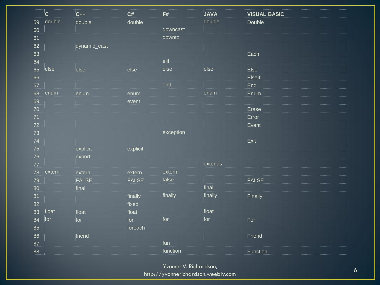|    | $\overline{\mathbf{C}}$ | $C++$        | C#           | F#        | <b>JAVA</b> | <b>VISUAL BASIC</b> |
|----|-------------------------|--------------|--------------|-----------|-------------|---------------------|
| 59 | double                  | double       | double       |           | double      | Double              |
| 60 |                         |              |              | downcast  |             |                     |
| 61 |                         |              |              | downto    |             |                     |
| 62 |                         | dynamic_cast |              |           |             |                     |
| 63 |                         |              |              |           |             | Each                |
| 64 |                         |              |              | elif      |             |                     |
| 65 | else                    | else         | else         | else      | else        | Else                |
| 66 |                         |              |              |           |             | Elself              |
| 67 |                         |              |              | end       |             | End                 |
| 68 | enum                    | enum         | enum         |           | enum        | Enum                |
| 69 |                         |              | event        |           |             |                     |
| 70 |                         |              |              |           |             | Erase               |
| 71 |                         |              |              |           |             | Error               |
| 72 |                         |              |              |           |             | Event               |
| 73 |                         |              |              | exception |             |                     |
| 74 |                         |              |              |           |             | Exit                |
| 75 |                         | explicit     | explicit     |           |             |                     |
| 76 |                         | export       |              |           |             |                     |
| 77 |                         |              |              |           | extends     |                     |
| 78 | extern                  | extern       | extern       | extern    |             |                     |
| 79 |                         | <b>FALSE</b> | <b>FALSE</b> | false     |             | FALSE               |
| 80 |                         | final        |              |           | final       |                     |
| 81 |                         |              | finally      | finally   | finally     | Finally             |
| 82 |                         |              | fixed        |           |             |                     |
| 83 | float                   | float        | float        |           | float       |                     |
| 84 | for                     | for          | for          | for       | for         | For                 |
| 85 |                         |              | foreach      |           |             |                     |
| 86 |                         | friend       |              |           |             | Friend              |
| 87 |                         |              |              | fun       |             |                     |
| 88 |                         |              |              | function  |             | Function            |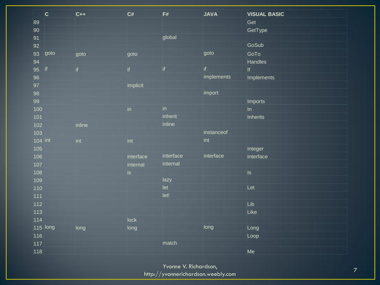|              | $\overline{\mathbf{C}}$ | $C++$  | C#        | F#            | <b>JAVA</b> | <b>VISUAL BASIC</b> |
|--------------|-------------------------|--------|-----------|---------------|-------------|---------------------|
| 89           |                         |        |           |               |             | Get                 |
| $90^{\circ}$ |                         |        |           |               |             | GetType             |
| 91           |                         |        |           | global        |             |                     |
| 92           |                         |        |           |               |             | GoSub               |
| 93           | goto                    | goto   | goto      |               | igoto       | GoTo                |
| 94           |                         |        |           |               |             | Handles             |
| 95           | $\mathbf{if}$           | if     | if        | ïf            | if          | .<br>If             |
| 96           |                         |        |           |               | implements  | Implements          |
| 97           |                         |        | implicit  |               |             |                     |
| 98           |                         |        |           |               | import      |                     |
| 99           |                         |        |           |               |             | Imports             |
| 100          |                         |        | $\ln$     | $\mathsf{in}$ |             | ∣n                  |
| 101          |                         |        |           | inherit       |             | Inherits            |
| 102          |                         | inline |           | inline        |             |                     |
| 103          |                         |        |           |               | instanceof  |                     |
| 104 int      |                         | int    | int       |               | int         |                     |
| 105          |                         |        |           |               |             | Integer             |
| 106          |                         |        | interface | interface     | interface   | Interface           |
| 107          |                         |        | internal  | internal      |             |                     |
| 108          |                         |        | $i$ s     |               |             | ls                  |
| 109          |                         |        |           | lazy          |             |                     |
| 110          |                         |        |           | let           |             | Let                 |
| 111          |                         |        |           | let!          |             |                     |
| 112          |                         |        |           |               |             | Lib                 |
| 113          |                         |        |           |               |             | Like                |
| 114          |                         |        | lock      |               |             |                     |
|              | 115 long                | long   | long      |               | long        | Long                |
| 116          |                         |        |           |               |             | Loop                |
| 117          |                         |        |           | match         |             |                     |
| 118          |                         |        |           |               |             | Me                  |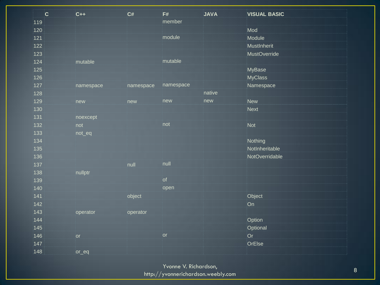| .   | $ {\bf C} $ | $C++$     | C#        | F#                       | <b>JAVA</b> | <b>VISUAL BASIC</b> |
|-----|-------------|-----------|-----------|--------------------------|-------------|---------------------|
| 119 |             |           |           | member                   |             |                     |
| 120 |             |           |           |                          |             | Mod                 |
| 121 |             |           |           | module                   |             | Module              |
| 122 |             |           |           |                          |             | MustInherit         |
| 123 |             |           |           |                          |             | MustOverride        |
| 124 |             | mutable   |           | mutable                  |             |                     |
| 125 |             |           |           |                          |             | MyBase              |
| 126 |             |           |           |                          |             | <b>MyClass</b>      |
| 127 |             | namespace | namespace | namespace                |             | Namespace           |
| 128 |             |           |           |                          | native      |                     |
| 129 |             | new       | new       | inew                     | new         | New                 |
| 130 |             |           |           |                          |             | Next                |
| 131 |             | noexcept  |           |                          |             |                     |
| 132 |             | not       |           | not                      |             | Not                 |
| 133 |             | not_eq    |           |                          |             |                     |
| 134 |             |           |           |                          |             | Nothing             |
| 135 |             |           |           |                          |             | NotInheritable      |
| 136 |             |           |           |                          |             | NotOverridable      |
| 137 |             |           | null      | null                     |             |                     |
| 138 |             | nullptr   |           |                          |             |                     |
| 139 |             |           |           | of                       |             |                     |
| 140 |             |           |           | open                     |             |                     |
| 141 |             |           | object    |                          |             | Object              |
| 142 |             |           |           |                          |             | <b>On</b>           |
| 143 |             | operator  | operator  |                          |             |                     |
| 144 |             |           |           |                          |             | Option              |
| 145 |             |           |           |                          |             | Optional            |
| 146 |             | or        |           | $\overline{\mathsf{or}}$ |             | Or                  |
| 147 |             |           |           |                          |             | OrElse              |
| 148 |             | or_eq     |           |                          |             |                     |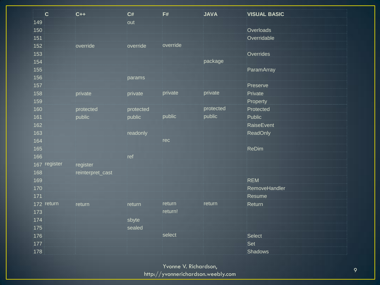| $\overline{c}$ | $C++$            | C#         | F#       | <b>JAVA</b> | <b>VISUAL BASIC</b> |
|----------------|------------------|------------|----------|-------------|---------------------|
| 149            |                  | out        |          |             |                     |
| 150            |                  |            |          |             | Overloads           |
| 151            |                  |            |          |             | Overridable         |
| 152            | override         | override   | override |             |                     |
| 153            |                  |            |          |             | Overrides           |
| 154            |                  |            |          | package     |                     |
| 155            |                  |            |          |             | ParamArray          |
| 156            |                  | params     |          |             |                     |
| 157            |                  |            |          |             | Preserve            |
| 158            | private          | private    | private  | private     | Private             |
| 159            |                  |            |          |             | Property            |
| 160            | protected        | protected  |          | protected   | Protected           |
| 161            | public           | public     | public   | public      | Public              |
| 162            |                  |            |          |             | RaiseEvent          |
| 163            |                  | readonly   |          |             | ReadOnly            |
| 164            |                  |            | rec      |             |                     |
| 165            |                  |            |          |             | ReDim               |
| 166            |                  | <b>ref</b> |          |             |                     |
| 167 register   | register         |            |          |             |                     |
| 168            | reinterpret_cast |            |          |             |                     |
| 169            |                  |            |          |             | REM                 |
| 170            |                  |            |          |             | RemoveHandler       |
| 171            |                  |            |          |             | Resume              |
| 172 return     | return           | return     | return   | return      | Return              |
| 173            |                  |            | return!  |             |                     |
| 174            |                  | sbyte      |          |             |                     |
| 175            |                  | sealed     |          |             |                     |
| 176            |                  |            | select   |             | Select              |
| 177            |                  |            |          |             | Set                 |
| 178            |                  |            |          |             | Shadows             |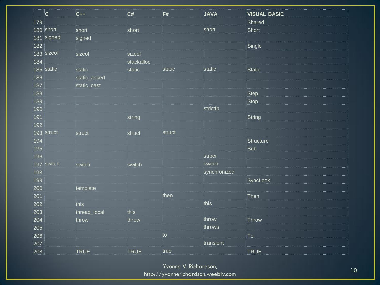| .   | $ {\bf C} $ | $C++$         | C#          | F#              | <b>JAVA</b>  | <b>VISUAL BASIC</b> |
|-----|-------------|---------------|-------------|-----------------|--------------|---------------------|
| 179 |             |               |             |                 |              | Shared              |
|     | 180 short   | short         | short       |                 | short        | Short               |
|     | 181 signed  | signed        |             |                 |              |                     |
| 182 |             |               |             |                 |              | Single              |
|     | 183 sizeof  | sizeof        | sizeof      |                 |              |                     |
| 184 |             |               | stackalloc  |                 |              |                     |
|     | 185 static  | static        | static      | static          | static       | Static              |
| 186 |             | static_assert |             |                 |              |                     |
| 187 |             | static_cast   |             |                 |              |                     |
| 188 |             |               |             |                 |              | Step                |
| 189 |             |               |             |                 |              | Stop                |
| 190 |             |               |             |                 | strictfp     |                     |
| 191 |             |               | string      |                 |              | String              |
| 192 |             |               |             |                 |              |                     |
|     | 193 struct  | struct        | struct      | struct          |              |                     |
| 194 |             |               |             |                 |              | Structure           |
| 195 |             |               |             |                 |              | Sub                 |
| 196 |             |               |             |                 | super        |                     |
|     | 197 switch  | switch        | switch      |                 | switch       |                     |
| 198 |             |               |             |                 | synchronized |                     |
| 199 |             |               |             |                 |              | SyncLock            |
| 200 |             | template      |             |                 |              |                     |
| 201 |             |               |             | then            |              | Then                |
| 202 |             | this          |             |                 | this         |                     |
| 203 |             | thread_local  | this        |                 |              |                     |
| 204 |             | throw         | throw       |                 | throw        | Throw               |
| 205 |             |               |             |                 | throws       |                     |
| 206 |             |               |             | $\overline{10}$ |              | To                  |
| 207 |             |               |             |                 | transient    |                     |
| 208 |             | <b>TRUE</b>   | <b>TRUE</b> | true            |              | <b>TRUE</b>         |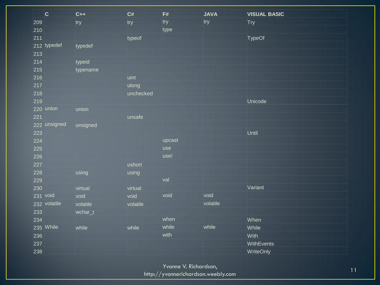| $\overline{\mathbf{C}}$ | $C++$    | C#        | F#      | <b>JAVA</b> | <b>VISUAL BASIC</b> |
|-------------------------|----------|-----------|---------|-------------|---------------------|
| 209                     | try      | try       | try     | try         | Try                 |
| 210                     |          |           | type    |             |                     |
| 211                     |          | typeof    |         |             | <b>TypeOf</b>       |
| 212 typedef             | typedef  |           |         |             |                     |
| 213                     |          |           |         |             |                     |
| 214                     | typeid   |           |         |             |                     |
| 215                     | typename |           |         |             |                     |
| 216                     |          | uint      |         |             |                     |
| 217                     |          | julong    |         |             |                     |
| 218                     |          | unchecked |         |             |                     |
| 219                     |          |           |         |             | Unicode             |
| 220 union               | union    |           |         |             |                     |
| 221                     |          | junsafe   |         |             |                     |
| 222 unsigned            | unsigned |           |         |             |                     |
| 223                     |          |           |         |             | Until               |
| 224                     |          |           | jupcast |             |                     |
| 225                     |          |           | luse    |             |                     |
| 226                     |          |           | use!    |             |                     |
| 227                     |          | jushort   |         |             |                     |
| 228                     | jusing   | jusing    |         |             |                     |
| 229                     |          |           | val     |             |                     |
| 230                     | virtual  | virtual   |         |             | Variant             |
| 231 void                | void     | void      | void    | void        |                     |
| 232 volatile            | volatile | volatile  |         | volatile    |                     |
| 233                     | wchar_t  |           |         |             |                     |
| 234                     |          |           | when    |             | When                |
| 235 While               | while    | while     | while   | while       | While               |
| 236                     |          |           | with    |             | With                |
| 237                     |          |           |         |             | WithEvents          |
| 238                     |          |           |         |             | WriteOnly           |